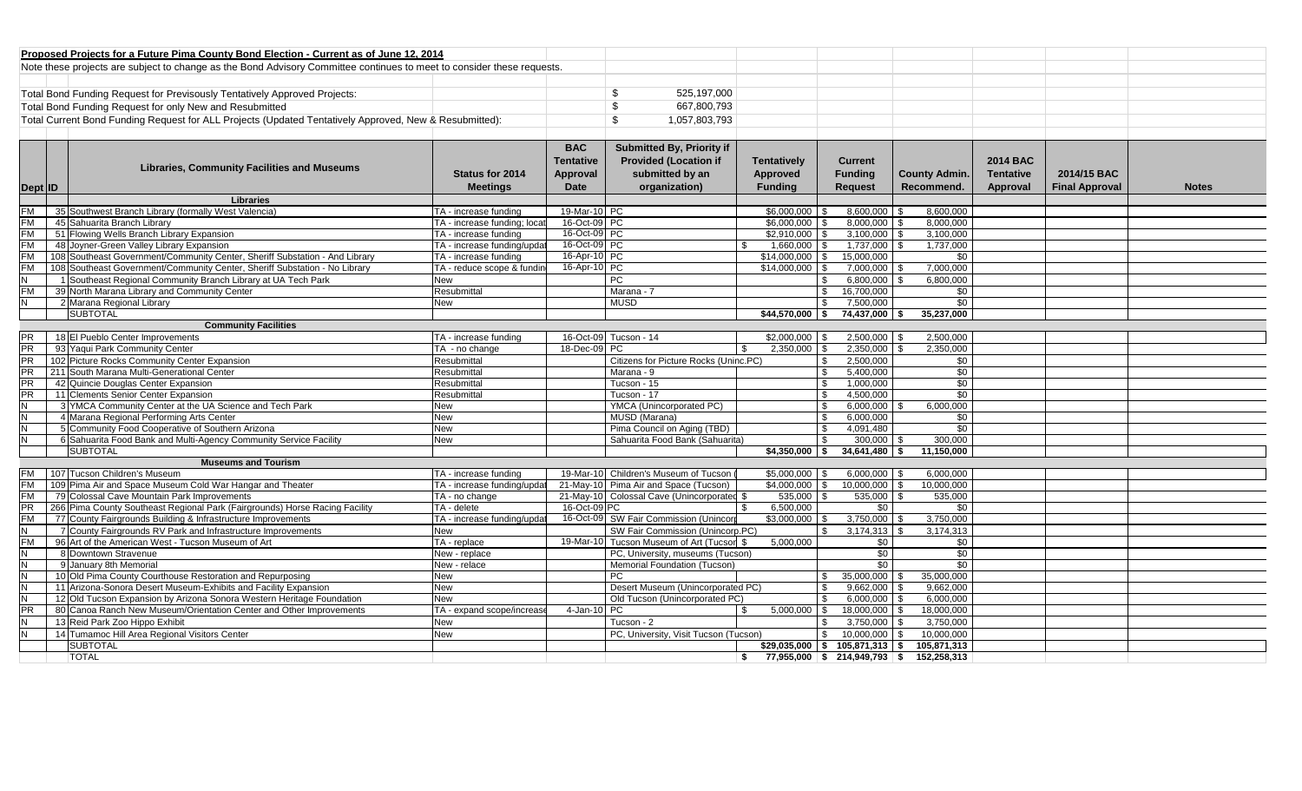| Proposed Projects for a Future Pima County Bond Election - Current as of June 12, 2014                                 |               |             |  |  |  |
|------------------------------------------------------------------------------------------------------------------------|---------------|-------------|--|--|--|
| Note these projects are subject to change as the Bond Advisory Committee continues to meet to consider these requests. |               |             |  |  |  |
|                                                                                                                        |               |             |  |  |  |
| Total Bond Funding Request for Previsously Tentatively Approved Projects:                                              |               | 525.197.000 |  |  |  |
| Total Bond Funding Request for only New and Resubmitted                                                                |               | 667.800.793 |  |  |  |
| Total Current Bond Funding Request for ALL Projects (Updated Tentatively Approved, New & Resubmitted):                 | 1,057,803,793 |             |  |  |  |

| Dept ID   | <b>Libraries, Community Facilities and Museums</b>                          | <b>Status for 2014</b><br><b>Meetings</b> | <b>BAC</b><br><b>Tentative</b><br>Approval<br>Date | Submitted By, Priority if<br><b>Provided (Location if</b><br>submitted by an<br>organization) |      | <b>Tentatively</b><br><b>Approved</b><br><b>Funding</b> | <b>Current</b><br><b>Funding</b><br><b>Request</b> | <b>County Admin.</b><br>Recommend. | <b>2014 BAC</b><br><b>Tentative</b><br>Approval | 2014/15 BAC<br><b>Final Approval</b> | <b>Notes</b> |
|-----------|-----------------------------------------------------------------------------|-------------------------------------------|----------------------------------------------------|-----------------------------------------------------------------------------------------------|------|---------------------------------------------------------|----------------------------------------------------|------------------------------------|-------------------------------------------------|--------------------------------------|--------------|
|           | Libraries                                                                   |                                           |                                                    |                                                                                               |      |                                                         |                                                    |                                    |                                                 |                                      |              |
| <b>FM</b> | 35 Southwest Branch Library (formally West Valencia)                        | TA - increase funding                     | 19-Mar-10 PC                                       |                                                                                               |      | \$6,000,000                                             | 8,600,000                                          | 8.600.000                          |                                                 |                                      |              |
| <b>FM</b> | 45 Sahuarita Branch Library                                                 | TA - increase funding; locat              | 16-Oct-09 PC                                       |                                                                                               |      | $$6,000,000$ \ \$                                       | 8,000,000                                          | 8,000,000                          |                                                 |                                      |              |
| <b>FM</b> | 51 Flowing Wells Branch Library Expansion                                   | TA - increase funding                     | 16-Oct-09 PC                                       |                                                                                               |      | $$2.910.000$ \ \$                                       | 3.100.000                                          | 3.100.000                          |                                                 |                                      |              |
| <b>FM</b> | 48 Joyner-Green Valley Library Expansion                                    | TA - increase funding/updat               | 16-Oct-09 PC                                       |                                                                                               |      | $1,660,000$ \$                                          | 1,737,000                                          | 1,737,000                          |                                                 |                                      |              |
| <b>FM</b> | 108 Southeast Government/Community Center, Sheriff Substation - And Library | TA - increase funding                     | 16-Apr-10 PC                                       |                                                                                               |      | $$14,000,000$ \ \$                                      | 15,000,000                                         | \$0                                |                                                 |                                      |              |
| <b>FM</b> | 108 Southeast Government/Community Center, Sheriff Substation - No Library  | TA - reduce scope & fundin                | 16-Apr-10 PC                                       |                                                                                               |      | $$14.000.000$ \ \$                                      | 7,000,000                                          | 7,000,000                          |                                                 |                                      |              |
| IN.       | 1 Southeast Regional Community Branch Library at UA Tech Park               | <b>New</b>                                |                                                    | <b>PC</b>                                                                                     |      |                                                         | 6,800,000                                          | 6.800.000                          |                                                 |                                      |              |
| <b>FM</b> | 39 North Marana Library and Community Center                                | Resubmittal                               |                                                    | Marana - 7                                                                                    |      |                                                         | 16,700,000<br>\$                                   | \$0                                |                                                 |                                      |              |
| IN.       | 2 Marana Regional Library                                                   | <b>New</b>                                |                                                    | <b>MUSD</b>                                                                                   |      | £.                                                      | 7,500,000                                          | $\overline{30}$                    |                                                 |                                      |              |
|           | <b>SUBTOTAL</b>                                                             |                                           |                                                    |                                                                                               |      |                                                         | $$44,570,000$ \$ 74,437,000 \$                     | 35,237,000                         |                                                 |                                      |              |
|           | <b>Community Facilities</b>                                                 |                                           |                                                    |                                                                                               |      |                                                         |                                                    |                                    |                                                 |                                      |              |
|           | 18 El Pueblo Center Improvements                                            | TA - increase funding                     |                                                    | 16-Oct-09 Tucson - 14                                                                         |      | $$2.000.000$ \ \$                                       | 2,500,000                                          | 2.500.000                          |                                                 |                                      |              |
| <b>PR</b> | 93 Yaqui Park Community Center                                              | TA - no change                            | 18-Dec-09 PC                                       |                                                                                               | -S   | $2,350,000$ \ \$                                        | 2,350,000                                          | 2,350,000                          |                                                 |                                      |              |
| <b>PR</b> | 102 Picture Rocks Community Center Expansion                                | Resubmittal                               |                                                    | Citizens for Picture Rocks (Uninc.PC)                                                         |      | \$.                                                     | 2,500,000                                          | \$0                                |                                                 |                                      |              |
| <b>PR</b> | 211 South Marana Multi-Generational Center                                  | Resubmittal                               |                                                    | Marana - 9                                                                                    |      | \$.                                                     | 5,400,000                                          | \$0                                |                                                 |                                      |              |
| <b>PR</b> | 42 Quincie Douglas Center Expansion                                         | Resubmittal                               |                                                    | Tucson - 15                                                                                   |      | \$.                                                     | 1,000,000                                          | $\overline{50}$                    |                                                 |                                      |              |
| <b>PR</b> | 11 Clements Senior Center Expansion                                         | Resubmittal                               |                                                    | Tucson - 17                                                                                   |      | £.                                                      | 4,500,000                                          | \$0                                |                                                 |                                      |              |
| IN.       | 3 YMCA Community Center at the UA Science and Tech Park                     | <b>New</b>                                |                                                    | YMCA (Unincorporated PC)                                                                      |      | £.                                                      | 6,000,000                                          | 6.000.000                          |                                                 |                                      |              |
| IN.       | 4 Marana Regional Performing Arts Center                                    | <b>New</b>                                |                                                    | MUSD (Marana)                                                                                 |      |                                                         | 6,000,000                                          | \$0                                |                                                 |                                      |              |
| IN.       | 5 Community Food Cooperative of Southern Arizona                            | <b>New</b>                                |                                                    | Pima Council on Aging (TBD)                                                                   |      |                                                         | 4,091,480                                          | \$0                                |                                                 |                                      |              |
| IN.       | 6 Sahuarita Food Bank and Multi-Agency Community Service Facility           | <b>New</b>                                |                                                    | Sahuarita Food Bank (Sahuarita)                                                               |      | \$                                                      | $300.000$ \$                                       | 300.000                            |                                                 |                                      |              |
|           | <b>SUBTOTAL</b>                                                             |                                           |                                                    |                                                                                               |      | $$4,350,000$ \$                                         | 34,641,480                                         | 11.150.000<br>- \$                 |                                                 |                                      |              |
|           | <b>Museums and Tourism</b>                                                  |                                           |                                                    |                                                                                               |      |                                                         |                                                    |                                    |                                                 |                                      |              |
|           | 107 Tucson Children's Museum                                                | TA - increase funding                     |                                                    | 19-Mar-10 Children's Museum of Tucson                                                         |      | $$5,000,000$ \$                                         | 6,000,000                                          | 6,000,000                          |                                                 |                                      |              |
| <b>FM</b> | 109 Pima Air and Space Museum Cold War Hangar and Theater                   | TA - increase funding/upda                |                                                    | 21-May-10 Pima Air and Space (Tucson)                                                         |      | $$4.000.000$ \ \$                                       | 10.000.000                                         | 10,000,000                         |                                                 |                                      |              |
| <b>FM</b> | 79 Colossal Cave Mountain Park Improvements                                 | TA - no change                            |                                                    | 21-May-10 Colossal Cave (Unincorporated \$                                                    |      | 535,000 \$                                              | 535,000                                            | 535,000                            |                                                 |                                      |              |
| PR        | 266 Pima County Southeast Regional Park (Fairgrounds) Horse Racing Facility | TA - delete                               | 16-Oct-09 PC                                       |                                                                                               |      | 6,500,000                                               | \$0                                                | \$0                                |                                                 |                                      |              |
| <b>FM</b> | 77 County Fairgrounds Building & Infrastructure Improvements                | TA - increase funding/updat               |                                                    | 16-Oct-09 SW Fair Commission (Unincor                                                         |      | \$3,000,000                                             | 3,750,000                                          | 3.750.000                          |                                                 |                                      |              |
| IN.       | 7 County Fairgrounds RV Park and Infrastructure Improvements                | New                                       |                                                    | SW Fair Commission (Unincorp.PC)                                                              |      |                                                         | 3,174,313                                          | 3,174,313                          |                                                 |                                      |              |
| <b>FM</b> | 96 Art of the American West - Tucson Museum of Art                          | TA - replace                              |                                                    | 19-Mar-10 Tucson Museum of Art (Tucson \$                                                     |      | 5.000.000                                               | \$0                                                | \$0                                |                                                 |                                      |              |
| IN.       | 8 Downtown Stravenue                                                        | New - replace                             |                                                    | PC, University, museums (Tucson)                                                              |      |                                                         | \$0                                                | \$0                                |                                                 |                                      |              |
| IN.       | 9 January 8th Memorial                                                      | New - relace                              |                                                    | Memorial Foundation (Tucson)                                                                  |      |                                                         | $\overline{50}$                                    | $\overline{30}$                    |                                                 |                                      |              |
| IN.       | 10 Old Pima County Courthouse Restoration and Repurposing                   | <b>New</b>                                |                                                    | PC.                                                                                           |      |                                                         | 35,000,000<br>\$.                                  | 35,000,000                         |                                                 |                                      |              |
| IN.       | 11 Arizona-Sonora Desert Museum-Exhibits and Facility Expansion             | <b>New</b>                                |                                                    | Desert Museum (Unincorporated PC)                                                             |      |                                                         | 9,662,000                                          | 9,662,000                          |                                                 |                                      |              |
| IN.       | 12 Old Tucson Expansion by Arizona Sonora Western Heritage Foundation       | <b>New</b>                                |                                                    | Old Tucson (Unincorporated PC)                                                                |      | \$.                                                     | 6.000.000                                          | 6.000.000                          |                                                 |                                      |              |
| <b>PR</b> | 80 Canoa Ranch New Museum/Orientation Center and Other Improvements         | TA - expand scope/increas                 | 4-Jan-10                                           | PC                                                                                            | - \$ | $5,000,000$ \$                                          | 18,000,000                                         | 18,000,000                         |                                                 |                                      |              |
| IN.       | 13 Reid Park Zoo Hippo Exhibit                                              | <b>New</b>                                |                                                    | Tucson - 2                                                                                    |      |                                                         | 3.750.000                                          | 3.750.000                          |                                                 |                                      |              |
| IN.       | 14 Tumamoc Hill Area Regional Visitors Center                               | <b>New</b>                                |                                                    | PC, University, Visit Tucson (Tucson)                                                         |      |                                                         | 10.000.000<br>\$                                   | 10.000.000                         |                                                 |                                      |              |
|           | <b>SUBTOTAL</b>                                                             |                                           |                                                    |                                                                                               |      |                                                         | $$29,035,000$ $$105,871,313$ \$                    | 105,871,313                        |                                                 |                                      |              |
|           | <b>TOTAL</b>                                                                |                                           |                                                    |                                                                                               | \$   |                                                         | $77,955,000$ \$ 214,949,793 \$                     | 152,258,313                        |                                                 |                                      |              |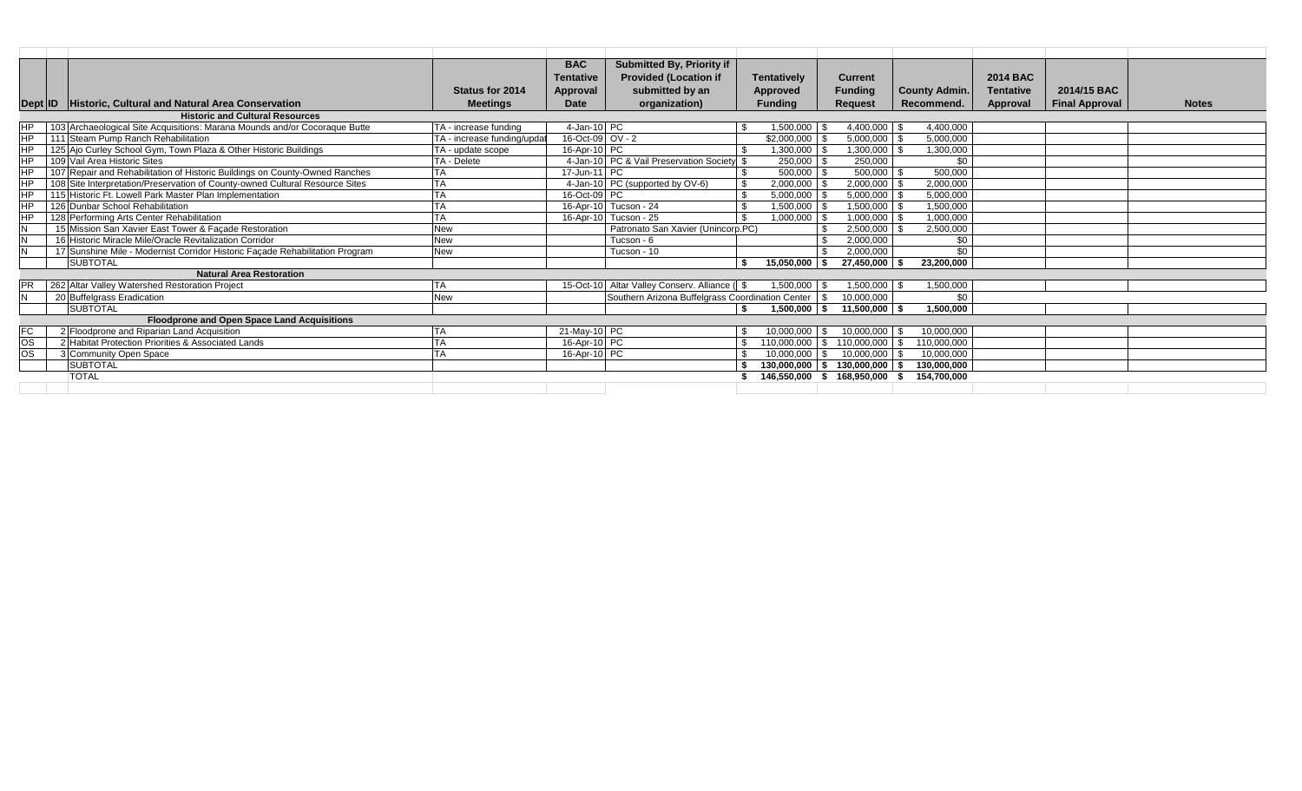|           |                                                                                            | <b>BAC</b>                                                   | <b>Submitted By, Priority if</b>                 |                    |                   |                                   |                      |                  |                       |              |
|-----------|--------------------------------------------------------------------------------------------|--------------------------------------------------------------|--------------------------------------------------|--------------------|-------------------|-----------------------------------|----------------------|------------------|-----------------------|--------------|
|           |                                                                                            | <b>Tentative</b>                                             | <b>Provided (Location if</b>                     | <b>Tentatively</b> |                   | <b>Current</b>                    |                      | <b>2014 BAC</b>  |                       |              |
|           |                                                                                            | <b>Status for 2014</b><br>Approval                           | submitted by an                                  | Approved           |                   | <b>Funding</b>                    | <b>County Admin.</b> | <b>Tentative</b> | 2014/15 BAC           |              |
|           | Historic, Cultural and Natural Area Conservation                                           | Date<br><b>Meetings</b>                                      | organization)                                    | <b>Funding</b>     |                   | <b>Request</b>                    | Recommend.           | Approval         | <b>Final Approval</b> | <b>Notes</b> |
|           | Dept <b>ID</b><br><b>Historic and Cultural Resources</b>                                   |                                                              |                                                  |                    |                   |                                   |                      |                  |                       |              |
| HP.       | 103 Archaeological Site Acquisitions: Marana Mounds and/or Cocoraque Butte                 | $4$ -Jan-10 PC<br>TA - increase funding                      |                                                  |                    | $1,500,000$ \$    | $4,400,000$ \$                    | 4,400,000            |                  |                       |              |
|           |                                                                                            |                                                              |                                                  |                    |                   |                                   |                      |                  |                       |              |
| <b>HP</b> | 111 Steam Pump Ranch Rehabilitation                                                        | 16-Oct-09 $\overline{OV}$ - 2<br>TA - increase funding/updat |                                                  |                    | $$2.000.000$ \ \$ | $5,000,000$ \$                    | 5.000.000            |                  |                       |              |
| <b>HP</b> | 125 Ajo Curley School Gym, Town Plaza & Other Historic Buildings                           | 16-Apr-10 PC<br>TA - update scope                            |                                                  |                    | 1,300,000         | 1,300,000                         | 1,300,000            |                  |                       |              |
| <b>HP</b> | 109 Vail Area Historic Sites                                                               | TA - Delete                                                  | 4-Jan-10 PC & Vail Preservation Society          |                    | 250,000 \$        | 250,000                           | \$0                  |                  |                       |              |
| <b>HP</b> | 107 Repair and Rehabilitation of Historic Buildings on County-Owned Ranches                | 17-Jun-11 PC                                                 |                                                  |                    |                   | 500,000                           | 500,000              |                  |                       |              |
| <b>HP</b> | 108 Site Interpretation/Preservation of County-owned Cultural Resource Sites<br>ТA         |                                                              | 4-Jan-10 PC (supported by OV-6)                  |                    | $2,000,000$ \$    | 2,000,000                         | 2,000,000            |                  |                       |              |
| <b>HP</b> | 115 Historic Ft. Lowell Park Master Plan Implementation                                    | 16-Oct-09 PC                                                 |                                                  |                    | 5.000.000 \$      | $5,000,000$ \ \$                  | 5,000,000            |                  |                       |              |
| <b>HP</b> | 126 Dunbar School Rehabilitation                                                           |                                                              | 16-Apr-10 Tucson - 24                            |                    | $1,500,000$ \$    | 1,500,000 \$                      | 1,500,000            |                  |                       |              |
| <b>HP</b> | 128 Performing Arts Center Rehabilitation                                                  |                                                              | 16-Apr-10 Tucson - 25                            |                    | $1,000,000$ \ \$  |                                   | 1,000,000            |                  |                       |              |
|           | 15 Mission San Xavier East Tower & Façade Restoration<br><b>New</b>                        |                                                              | Patronato San Xavier (Unincorp.PC)               |                    |                   | 2.500.000                         | 2,500,000            |                  |                       |              |
|           | 16 Historic Miracle Mile/Oracle Revitalization Corridor<br><b>New</b>                      |                                                              | Tucson - 6                                       |                    |                   | 2,000,000                         | \$0                  |                  |                       |              |
|           | 17 Sunshine Mile - Modernist Corridor Historic Façade Rehabilitation Program<br><b>New</b> |                                                              | Tucson - 10                                      |                    |                   | 2.000.000                         | \$0                  |                  |                       |              |
|           | <b>SUBTOTAL</b>                                                                            |                                                              |                                                  |                    | 15.050.000        | 27.450.000                        | 23,200,000           |                  |                       |              |
|           | <b>Natural Area Restoration</b>                                                            |                                                              |                                                  |                    |                   |                                   |                      |                  |                       |              |
| <b>PR</b> | 262 Altar Valley Watershed Restoration Project                                             |                                                              | 15-Oct-10 Altar Valley Conserv. Alliance ( \$    |                    | $1,500,000$ \$    | $1,500,000$ \$                    | 1,500,000            |                  |                       |              |
|           | 20 Buffelgrass Eradication<br><b>New</b>                                                   |                                                              | Southern Arizona Buffelgrass Coordination Center |                    |                   | 10,000,000                        | \$0                  |                  |                       |              |
|           | <b>SUBTOTAL</b>                                                                            |                                                              |                                                  | \$                 | $1.500.000$ S     | 11.500.000丨\$                     | 1.500.000            |                  |                       |              |
|           | Floodprone and Open Space Land Acquisitions                                                |                                                              |                                                  |                    |                   |                                   |                      |                  |                       |              |
| FC.       | 2 Floodprone and Riparian Land Acquisition                                                 | 21-May-10 PC                                                 |                                                  |                    | $10.000.000$ \ \$ | 10.000.000 \$                     | 10.000.000           |                  |                       |              |
| <b>OS</b> | 2 Habitat Protection Priorities & Associated Lands                                         | 16-Apr-10 PC                                                 |                                                  |                    | 110,000,000 \$    | 110,000,000                       | 110.000.000          |                  |                       |              |
| <b>OS</b> | 3 Community Open Space                                                                     | 16-Apr-10 PC                                                 |                                                  |                    | $10,000,000$ \ \$ | 10,000,000                        | 10.000.000           |                  |                       |              |
|           | <b>SUBTOTAL</b>                                                                            |                                                              |                                                  |                    |                   | $130,000,000$ \$ $130,000,000$ \$ | 130,000,000          |                  |                       |              |
|           | <b>TOTAL</b>                                                                               |                                                              |                                                  |                    |                   | 146,550,000 \$ 168,950,000        | 154.700.000          |                  |                       |              |
|           |                                                                                            |                                                              |                                                  |                    |                   |                                   |                      |                  |                       |              |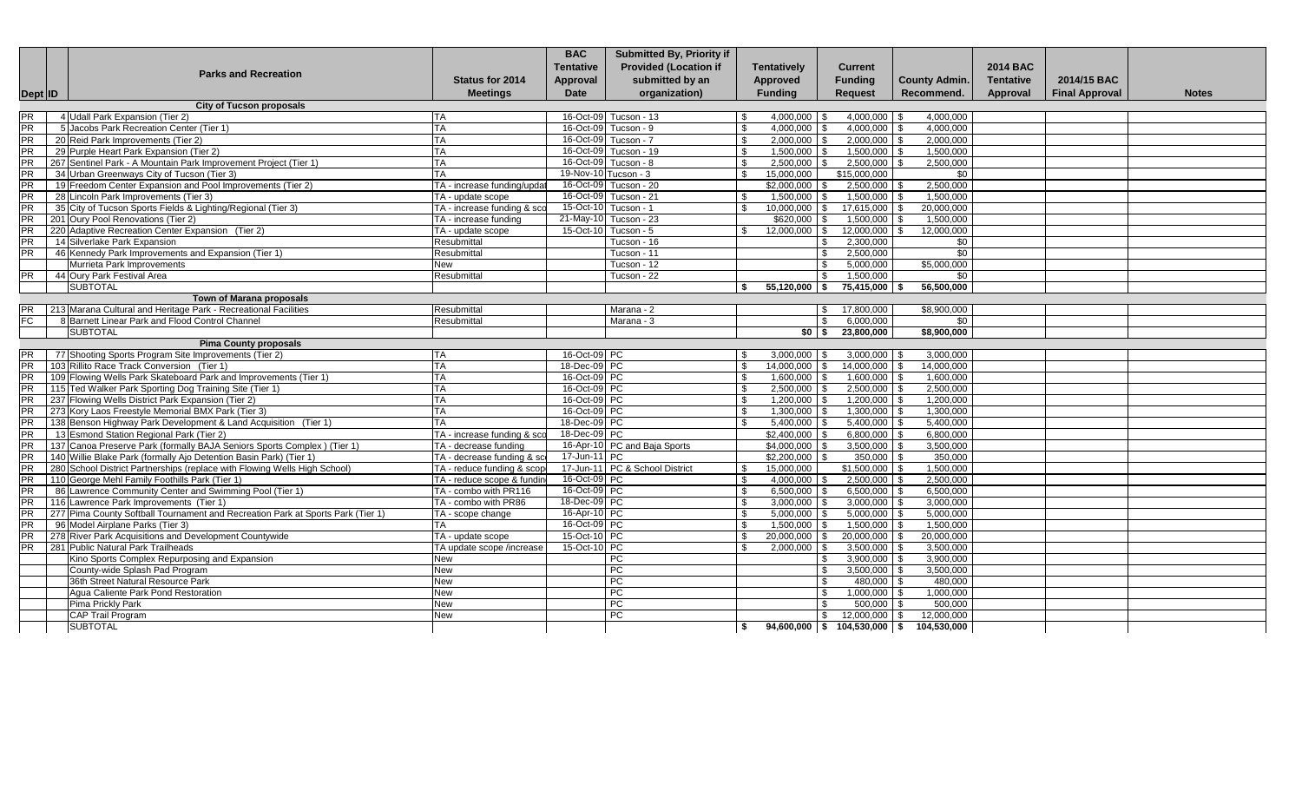|           | <b>Parks and Recreation</b>                                                     | <b>Status for 2014</b>      | <b>BAC</b><br><b>Tentative</b> | Submitted By, Priority if<br><b>Provided (Location if</b><br>submitted by an | <b>Tentatively</b><br>Approved   |                   | <b>Current</b><br><b>Funding</b> |                                    | <b>2014 BAC</b><br><b>Tentative</b> | 2014/15 BAC           |              |
|-----------|---------------------------------------------------------------------------------|-----------------------------|--------------------------------|------------------------------------------------------------------------------|----------------------------------|-------------------|----------------------------------|------------------------------------|-------------------------------------|-----------------------|--------------|
|           |                                                                                 | <b>Meetings</b>             | <b>Approval</b><br>Date        | organization)                                                                | <b>Fundina</b>                   |                   | <b>Request</b>                   | <b>County Admin.</b><br>Recommend. | Approval                            | <b>Final Approval</b> | <b>Notes</b> |
| Dept ID   | <b>City of Tucson proposals</b>                                                 |                             |                                |                                                                              |                                  |                   |                                  |                                    |                                     |                       |              |
| <b>PR</b> | 4 Udall Park Expansion (Tier 2)                                                 | TA                          |                                | 16-Oct-09 Tucson - 13                                                        | - \$                             | $4,000,000$ \$    | $4,000,000$ \$                   | 4,000,000                          |                                     |                       |              |
| <b>PR</b> | 5 Jacobs Park Recreation Center (Tier 1)                                        | <b>TA</b>                   |                                | 16-Oct-09 Tucson - 9                                                         | -S                               | $4,000,000$ \ \$  | $4,000,000$ \$                   | 4,000,000                          |                                     |                       |              |
| <b>PR</b> | 20 Reid Park Improvements (Tier 2)                                              | TA                          |                                | 16-Oct-09 Tucson - 7                                                         | -S                               | $2,000,000$ \$    | $2,000,000$ \$                   | 2,000,000                          |                                     |                       |              |
| PR        | 29 Purple Heart Park Expansion (Tier 2)                                         | <b>TA</b>                   |                                | 16-Oct-09 Tucson - 19                                                        | $\mathfrak{L}$                   | 1,500,000 \$      | $1,500,000$ \$                   | 1,500,000                          |                                     |                       |              |
| <b>PR</b> | 267 Sentinel Park - A Mountain Park Improvement Project (Tier 1)                | TA                          |                                | 16-Oct-09 Tucson - 8                                                         | \$                               | 2,500,000         | 2,500,000                        | 2,500,000                          |                                     |                       |              |
| <b>PR</b> | 34 Urban Greenways City of Tucson (Tier 3)                                      | <b>TA</b>                   |                                | 19-Nov-10 Tucson - 3                                                         | 15,000,000<br>$\mathbf{\hat{s}}$ |                   | \$15,000,000                     | \$0                                |                                     |                       |              |
| <b>PR</b> | 19 Freedom Center Expansion and Pool Improvements (Tier 2)                      | TA - increase funding/updat |                                | 16-Oct-09 Tucson - 20                                                        | \$2,000,000                      |                   | $2,500,000$ \$                   | 2,500,000                          |                                     |                       |              |
| <b>PR</b> | 28 Lincoln Park Improvements (Tier 3)                                           | TA - update scope           |                                | 16-Oct-09 Tucson - 21                                                        | - \$                             | 1,500,000         | $1,500,000$ \$                   | 1,500,000                          |                                     |                       |              |
| <b>PR</b> | 35 City of Tucson Sports Fields & Lighting/Regional (Tier 3)                    | TA - increase funding & sco |                                | 15-Oct-10 Tucson - 1                                                         | . ድ                              | $10.000.000$ \ \$ | 17,615,000                       | 20.000.000                         |                                     |                       |              |
| <b>PR</b> | 201 Oury Pool Renovations (Tier 2)                                              | TA - increase funding       |                                | 21-May-10 Tucson - 23                                                        |                                  | $$620,000$ \$     | 1,500,000                        | 1,500,000                          |                                     |                       |              |
| <b>PR</b> | 220 Adaptive Recreation Center Expansion (Tier 2)                               | TA - update scope           |                                | 15-Oct-10 Tucson - 5                                                         | $\mathbf{\hat{s}}$               | $12,000,000$ \ \$ | 12,000,000                       | 12,000,000<br>l \$                 |                                     |                       |              |
| <b>PR</b> | 14 Silverlake Park Expansion                                                    | Resubmittal                 |                                | Tucson - 16                                                                  |                                  |                   | 2,300,000<br>\$                  | \$0                                |                                     |                       |              |
| PR        | 46 Kennedy Park Improvements and Expansion (Tier 1)                             | Resubmittal                 |                                | Tucson - 11                                                                  |                                  |                   | 2,500,000<br>\$.                 | $\overline{50}$                    |                                     |                       |              |
|           | Murrieta Park Improvements                                                      | New                         |                                | Tucson - 12                                                                  |                                  |                   | $\mathfrak{L}$<br>5,000,000      | \$5,000,000                        |                                     |                       |              |
| <b>PR</b> | 44 Oury Park Festival Area                                                      | Resubmittal                 |                                | Tucson - 22                                                                  |                                  |                   | $\mathbb{S}$<br>1.500.000        | \$0                                |                                     |                       |              |
|           | <b>SUBTOTAL</b>                                                                 |                             |                                |                                                                              | -\$                              | 55,120,000 \$     | 75,415,000 \$                    | 56,500,000                         |                                     |                       |              |
|           | <b>Town of Marana proposals</b>                                                 |                             |                                |                                                                              |                                  |                   |                                  |                                    |                                     |                       |              |
| <b>PR</b> | 213 Marana Cultural and Heritage Park - Recreational Facilities                 | Resubmittal                 |                                | Marana - 2                                                                   |                                  |                   | 17,800,000<br><b>S</b>           | \$8,900,000                        |                                     |                       |              |
| <b>FC</b> | 8 Barnett Linear Park and Flood Control Channel                                 | Resubmittal                 |                                | Marana - 3                                                                   |                                  |                   | 6,000,000<br>$\mathbf{R}$        | \$0                                |                                     |                       |              |
|           | <b>SUBTOTAL</b>                                                                 |                             |                                |                                                                              |                                  | $$0 \quad $$      | 23,800,000                       | \$8,900,000                        |                                     |                       |              |
|           | <b>Pima County proposals</b>                                                    |                             |                                |                                                                              |                                  |                   |                                  |                                    |                                     |                       |              |
| <b>PR</b> | 77 Shooting Sports Program Site Improvements (Tier 2)                           | <b>TA</b>                   | 16-Oct-09 PC                   |                                                                              |                                  | $3,000,000$ \$    | $3,000,000$ \$                   | 3,000,000                          |                                     |                       |              |
| <b>PR</b> | 103 Rillito Race Track Conversion (Tier 1)                                      | <b>TA</b>                   | 18-Dec-09 PC                   |                                                                              | \$                               | 14,000,000 \$     | $14,000,000$ \$                  | 14,000,000                         |                                     |                       |              |
| PR        | 109 Flowing Wells Park Skateboard Park and Improvements (Tier 1)                | TA                          | 16-Oct-09 PC                   |                                                                              | $\mathfrak{L}$                   | 1,600,000         | 1,600,000                        | 1.600.000                          |                                     |                       |              |
| <b>PR</b> | 115 Ted Walker Park Sporting Dog Training Site (Tier 1)                         | TA                          | 16-Oct-09 PC                   |                                                                              | $\mathfrak{L}$                   | 2.500.000         | $2,500,000$ \$<br>$\mathbf{R}$   | 2,500,000                          |                                     |                       |              |
| <b>PR</b> | 237 Flowing Wells District Park Expansion (Tier 2)                              | <b>TA</b>                   | 16-Oct-09 PC                   |                                                                              | \$                               | $1,200,000$ \ \$  | $1,200,000$ \ \$                 | 1,200,000                          |                                     |                       |              |
| PR        | 273 Kory Laos Freestyle Memorial BMX Park (Tier 3)                              | TA                          | 16-Oct-09 PC                   |                                                                              |                                  | 1,300,000         | $1,300,000$ \ \$<br>IS.          | 1,300,000                          |                                     |                       |              |
| <b>PR</b> | 138 Benson Highway Park Development & Land Acquisition (Tier 1)                 | <b>TA</b>                   | 18-Dec-09 PC                   |                                                                              | -S                               | 5,400,000         | 5,400,000                        | 5,400,000                          |                                     |                       |              |
| PR        | 13 Esmond Station Regional Park (Tier 2)                                        | TA - increase funding & sco | 18-Dec-09 PC                   |                                                                              | \$2,400,000                      |                   | 6,800,000                        | 6.800.000                          |                                     |                       |              |
| <b>PR</b> | 137 Canoa Preserve Park (formally BAJA Seniors Sports Complex) (Tier 1)         | TA - decrease funding       |                                | 16-Apr-10 PC and Baja Sports                                                 | \$4,000,000                      |                   | $3,500,000$ \$                   | 3,500,000                          |                                     |                       |              |
| PR        | 140 Willie Blake Park (formally Ajo Detention Basin Park) (Tier 1)              | TA - decrease funding & sc  | 17-Jun-11 PC                   |                                                                              |                                  | \$2,200,000       | $350,000$ \$                     | 350,000                            |                                     |                       |              |
| <b>PR</b> | 280 School District Partnerships (replace with Flowing Wells High School)       | TA - reduce funding & scop  |                                | 17-Jun-11 PC & School District                                               | 15,000,000<br>\$                 |                   | $$1,500,000$ \ \$                | 1,500,000                          |                                     |                       |              |
| <b>PR</b> | 110 George Mehl Family Foothills Park (Tier 1)                                  | TA - reduce scope & fundin  | 16-Oct-09 PC                   |                                                                              | $\mathfrak{L}$                   | $4,000,000$ \$    | $2,500,000$ \$                   | 2,500,000                          |                                     |                       |              |
| <b>PR</b> | 86 Lawrence Community Center and Swimming Pool (Tier 1)                         | TA - combo with PR116       | 16-Oct-09 PC                   |                                                                              | -S                               | $6,500,000$ \$    | $6,500,000$ \$                   | 6,500,000                          |                                     |                       |              |
| PR        | 116 Lawrence Park Improvements (Tier 1)                                         | TA - combo with PR86        | 18-Dec-09 PC                   |                                                                              | -S                               | 3,000,000         | $3,000,000$ \$                   | 3.000.000                          |                                     |                       |              |
| PR        | 277 Pima County Softball Tournament and Recreation Park at Sports Park (Tier 1) | TA - scope change           | 16-Apr-10 PC                   |                                                                              | -S                               | 5,000,000         | $5,000,000$ \$                   | 5,000,000                          |                                     |                       |              |
| <b>PR</b> | 96 Model Airplane Parks (Tier 3)                                                | TA                          | 16-Oct-09 PC                   |                                                                              | -S                               | 1,500,000         | $1,500,000$ \$                   | 1,500,000                          |                                     |                       |              |
| <b>PR</b> | 278 River Park Acquisitions and Development Countywide                          | TA - update scope           | 15-Oct-10 PC                   |                                                                              | 20,000,000<br>- \$               |                   | 20,000,000<br>-SG                | 20,000,000<br>∣\$.                 |                                     |                       |              |
| <b>PR</b> | 281 Public Natural Park Trailheads                                              | TA update scope /increase   | 15-Oct-10 PC                   |                                                                              | - \$                             | 2,000,000         | 3,500,000<br>. \$                | 3,500,000                          |                                     |                       |              |
|           | Kino Sports Complex Repurposing and Expansion                                   | <b>New</b>                  |                                | PC                                                                           |                                  |                   | $3.900.000$ \ \$<br>\$           | 3.900.000                          |                                     |                       |              |
|           | County-wide Splash Pad Program                                                  | New                         |                                | PC                                                                           |                                  |                   | \$<br>$3,500,000$ \$             | 3,500,000                          |                                     |                       |              |
|           | 36th Street Natural Resource Park                                               | New                         |                                | PC                                                                           |                                  |                   | 480,000 \$<br>\$                 | 480,000                            |                                     |                       |              |
|           | Agua Caliente Park Pond Restoration                                             | New                         |                                | PC                                                                           |                                  |                   | $1,000,000$ \$<br>\$             | 1,000,000                          |                                     |                       |              |
|           | Pima Prickly Park                                                               | New                         |                                | PC                                                                           |                                  |                   | 500.000                          | 500.000                            |                                     |                       |              |
|           | <b>CAP Trail Program</b>                                                        | New                         |                                | <b>PC</b>                                                                    |                                  |                   | 12.000.000 \$<br>\$              | 12.000.000                         |                                     |                       |              |
|           | <b>SUBTOTAL</b>                                                                 |                             |                                |                                                                              | -\$                              |                   | $94.600.000$ \$ 104.530.000 \$   | 104.530.000                        |                                     |                       |              |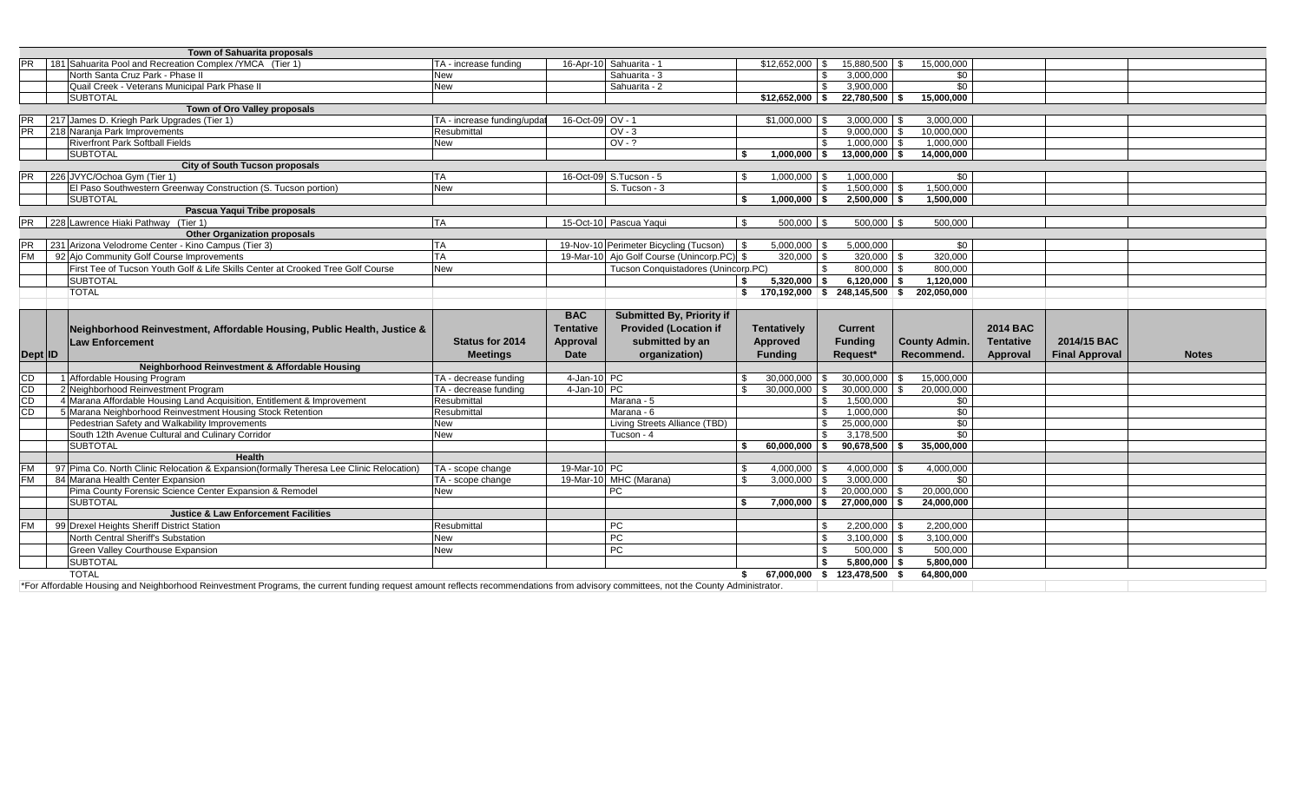|           | Town of Sahuarita proposals                                                              |                             |                  |                                            |                                                 |               |                              |                      |                  |                       |              |
|-----------|------------------------------------------------------------------------------------------|-----------------------------|------------------|--------------------------------------------|-------------------------------------------------|---------------|------------------------------|----------------------|------------------|-----------------------|--------------|
|           | 181 Sahuarita Pool and Recreation Complex / YMCA (Tier 1)                                | TA - increase funding       |                  | 16-Apr-10 Sahuarita - 1                    | \$12,652,000                                    |               | 15,880,500 \$                | 15.000.000           |                  |                       |              |
|           | North Santa Cruz Park - Phase II                                                         | New                         |                  | Sahuarita - 3                              |                                                 | \$.           | 3,000,000                    | $\overline{50}$      |                  |                       |              |
|           | Quail Creek - Veterans Municipal Park Phase II                                           | <b>New</b>                  |                  | Sahuarita - 2                              |                                                 | \$            | 3.900.000                    | \$0                  |                  |                       |              |
|           | <b>SUBTOTAL</b>                                                                          |                             |                  |                                            | $$12,652,000$ \$                                |               | 22,780,500 \$                | 15.000.000           |                  |                       |              |
|           | Town of Oro Valley proposals                                                             |                             |                  |                                            |                                                 |               |                              |                      |                  |                       |              |
| <b>PR</b> | 217 James D. Kriegh Park Upgrades (Tier 1)                                               | TA - increase funding/updat | 16-Oct-09 OV - 1 |                                            | $$1,000,000$ \ \$                               |               | $3,000,000$ \$               | 3,000,000            |                  |                       |              |
| <b>PR</b> | 218 Naranja Park Improvements                                                            | Resubmittal                 |                  | $OV - 3$                                   |                                                 | £.            | 9.000.000                    | 10.000.000           |                  |                       |              |
|           | <b>Riverfront Park Softball Fields</b>                                                   | <b>New</b>                  |                  | $OV-?$                                     |                                                 | £.            | $1,000,000$ \$               | 1,000,000            |                  |                       |              |
|           | <b>SUBTOTAL</b>                                                                          |                             |                  |                                            | $1.000.000$ S<br>\$                             |               | $13.000.000$ \ \$            | 14.000.000           |                  |                       |              |
|           | <b>City of South Tucson proposals</b>                                                    |                             |                  |                                            |                                                 |               |                              |                      |                  |                       |              |
| <b>PR</b> | 226 JVYC/Ochoa Gym (Tier 1)                                                              | <b>ITA</b>                  |                  | 16-Oct-09 S.Tucson - 5                     | $1,000,000$ \$                                  |               | 1,000,000                    | \$0                  |                  |                       |              |
|           | El Paso Southwestern Greenway Construction (S. Tucson portion)                           | <b>New</b>                  |                  | S. Tucson - 3                              |                                                 | \$            | $1,500,000$ \$               | 1,500,000            |                  |                       |              |
|           | <b>SUBTOTAL</b>                                                                          |                             |                  |                                            | $1,000,000$ \$                                  |               | $2,500,000$ \$               | 1,500,000            |                  |                       |              |
|           | Pascua Yaqui Tribe proposals                                                             |                             |                  |                                            |                                                 |               |                              |                      |                  |                       |              |
|           | PR 228 Lawrence Hiaki Pathway (Tier 1)                                                   | <b>TA</b>                   |                  | 15-Oct-10 Pascua Yaqui                     | $500,000$ \$<br>- \$                            |               | $500,000$ \$                 | 500,000              |                  |                       |              |
|           | <b>Other Organization proposals</b>                                                      |                             |                  |                                            |                                                 |               |                              |                      |                  |                       |              |
|           | 231 Arizona Velodrome Center - Kino Campus (Tier 3)                                      | <b>TA</b>                   |                  | 19-Nov-10 Perimeter Bicycling (Tucson)     | $5,000,000$ \$<br>$\overline{\phantom{a}}$      |               | 5,000,000                    | \$0                  |                  |                       |              |
|           | 92 Ajo Community Golf Course Improvements                                                | <b>TA</b>                   |                  | 19-Mar-10 Ajo Golf Course (Unincorp.PC) \$ | 320,000 \$                                      |               | $320,000$ \$                 | 320.000              |                  |                       |              |
|           | First Tee of Tucson Youth Golf & Life Skills Center at Crooked Tree Golf Course          | <b>New</b>                  |                  | Tucson Conquistadores (Unincorp.PC)        |                                                 | \$            | 800,000 \$                   | 800,000              |                  |                       |              |
|           | <b>SUBTOTAL</b>                                                                          |                             |                  |                                            | $5,320,000$ \$<br>\$                            |               | $6.120.000$ \ \$             | 1.120.000            |                  |                       |              |
|           | <b>TOTAL</b>                                                                             |                             |                  |                                            | $$ 170,192,000 \;   \; $ 248,145,500 \;   \; $$ |               |                              | 202,050,000          |                  |                       |              |
|           |                                                                                          |                             |                  |                                            |                                                 |               |                              |                      |                  |                       |              |
|           |                                                                                          |                             | <b>BAC</b>       | <b>Submitted By, Priority if</b>           |                                                 |               |                              |                      |                  |                       |              |
|           |                                                                                          |                             |                  |                                            |                                                 |               |                              |                      |                  |                       |              |
|           |                                                                                          |                             |                  |                                            |                                                 |               |                              |                      |                  |                       |              |
|           | Neighborhood Reinvestment, Affordable Housing, Public Health, Justice &                  |                             | <b>Tentative</b> | <b>Provided (Location if</b>               | <b>Tentatively</b>                              |               | <b>Current</b>               |                      | <b>2014 BAC</b>  |                       |              |
|           | <b>Law Enforcement</b>                                                                   | <b>Status for 2014</b>      | <b>Approval</b>  | submitted by an                            | Approved                                        |               | <b>Funding</b>               | <b>County Admin.</b> | <b>Tentative</b> | 2014/15 BAC           |              |
| Dept ID   |                                                                                          | <b>Meetings</b>             | <b>Date</b>      | organization)                              | <b>Funding</b>                                  |               | Request*                     | Recommend.           | Approval         | <b>Final Approval</b> | <b>Notes</b> |
|           | Neighborhood Reinvestment & Affordable Housing                                           |                             |                  |                                            |                                                 |               |                              |                      |                  |                       |              |
| CD        | 1 Affordable Housing Program                                                             | TA - decrease funding       | 4-Jan-10 PC      |                                            | 30,000,000                                      | \$            | 30,000,000                   | 15,000,000<br>£.     |                  |                       |              |
| CD        | 2 Neighborhood Reinvestment Program                                                      | TA - decrease funding       | 4-Jan-10 PC      |                                            | 30,000,000                                      |               | 30,000,000                   | 20,000,000           |                  |                       |              |
| CD        | 4 Marana Affordable Housing Land Acquisition, Entitlement & Improvement                  | Resubmittal                 |                  | Marana - 5                                 |                                                 |               | 1,500,000                    | \$0                  |                  |                       |              |
| CD        | 5 Marana Neighborhood Reinvestment Housing Stock Retention                               | Resubmittal                 |                  | Marana - 6                                 |                                                 |               | 1,000,000                    | $\overline{50}$      |                  |                       |              |
|           | Pedestrian Safety and Walkability Improvements                                           | New                         |                  | Living Streets Alliance (TBD)              |                                                 | \$            | 25,000,000                   | $\overline{50}$      |                  |                       |              |
|           | South 12th Avenue Cultural and Culinary Corridor                                         | <b>New</b>                  |                  | Tucson - 4                                 |                                                 | \$            | 3.178.500                    | $\overline{50}$      |                  |                       |              |
|           | <b>SUBTOTAL</b>                                                                          |                             |                  |                                            | 60,000,000 \$                                   |               | 90,678,500                   | 35,000,000<br>l Si   |                  |                       |              |
|           | Health                                                                                   |                             |                  |                                            |                                                 |               |                              |                      |                  |                       |              |
| <b>FM</b> | 97 Pima Co. North Clinic Relocation & Expansion (formally Theresa Lee Clinic Relocation) | TA - scope change           | 19-Mar-10 PC     |                                            | 4,000,000<br>-96                                | - \$          | 4,000,000                    | 4,000,000            |                  |                       |              |
| <b>FM</b> | 84 Marana Health Center Expansion                                                        | TA - scope change           |                  | 19-Mar-10 MHC (Marana)                     | 3.000.000                                       |               | 3.000.000                    | \$0                  |                  |                       |              |
|           | Pima County Forensic Science Center Expansion & Remodel                                  | New                         |                  | PC.                                        |                                                 |               | 20,000,000                   | 20,000,000           |                  |                       |              |
|           | <b>SUBTOTAL</b>                                                                          |                             |                  |                                            | $7,000,000$ \$                                  |               | $27,000,000$ \$              | 24.000.000           |                  |                       |              |
|           | <b>Justice &amp; Law Enforcement Facilities</b>                                          |                             |                  |                                            |                                                 |               |                              |                      |                  |                       |              |
| <b>FM</b> | 99 Drexel Heights Sheriff District Station                                               | Resubmittal                 |                  | PC                                         |                                                 |               | 2,200,000                    | 2,200,000            |                  |                       |              |
|           | North Central Sheriff's Substation                                                       | <b>New</b>                  |                  | PC                                         |                                                 | $\mathcal{L}$ | $3,100,000$ \$               | 3,100,000            |                  |                       |              |
|           | <b>Green Valley Courthouse Expansion</b>                                                 | <b>New</b>                  |                  | PC                                         |                                                 |               | $500,000$ \$                 | 500.000              |                  |                       |              |
|           | <b>SUBTOTAL</b>                                                                          |                             |                  |                                            |                                                 | Ŝ.            | 5,800,000                    | 5,800,000            |                  |                       |              |
|           | <b>TOTAL</b>                                                                             |                             |                  |                                            | \$                                              |               | 67,000,000 \$ 123,478,500 \$ | 64.800.000           |                  |                       |              |